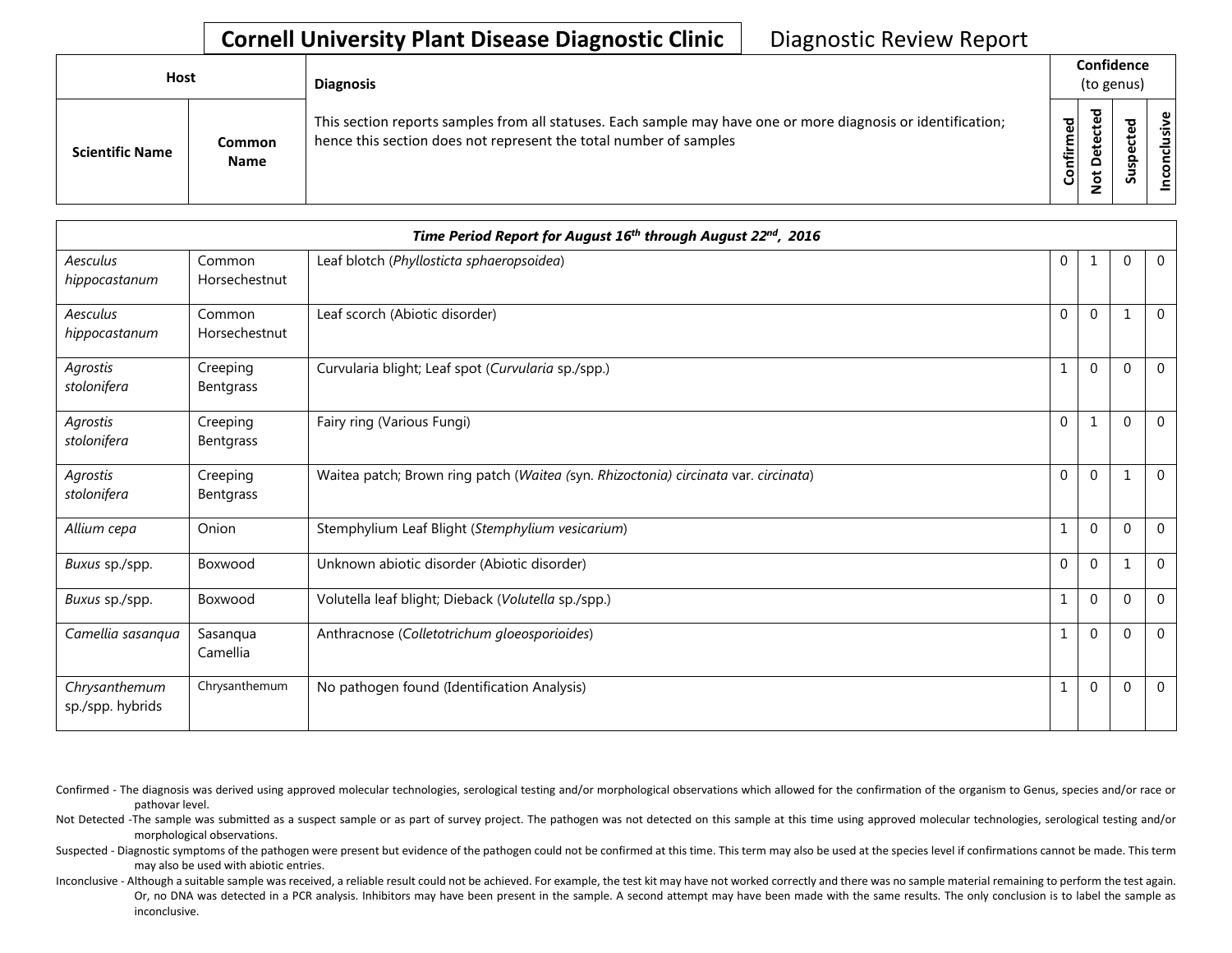## **Cornell University Plant Disease Diagnostic Clinic** | Diagnostic Review Report

| <b>Host</b>            |                       | <b>Diagnosis</b>                                                                                                                                                                   |           | Confidence<br>(to genus)          |   |                 |
|------------------------|-----------------------|------------------------------------------------------------------------------------------------------------------------------------------------------------------------------------|-----------|-----------------------------------|---|-----------------|
| <b>Scientific Name</b> | Common<br><b>Name</b> | This section reports samples from all statuses. Each sample may have one or more diagnosis or identification;<br>hence this section does not represent the total number of samples | Confirmed | ᇃ<br>ں<br>Φ<br>$\Omega$<br>پ<br>⇁ | ശ | ω<br>usiv<br>᠊ᠣ |

|                                   |                         | Time Period Report for August 16th through August 22nd, 2016                        |              |              |             |                |
|-----------------------------------|-------------------------|-------------------------------------------------------------------------------------|--------------|--------------|-------------|----------------|
| Aesculus<br>hippocastanum         | Common<br>Horsechestnut | Leaf blotch (Phyllosticta sphaeropsoidea)                                           | $\mathbf{0}$ | -1           | $\Omega$    | $\overline{0}$ |
| Aesculus<br>hippocastanum         | Common<br>Horsechestnut | Leaf scorch (Abiotic disorder)                                                      | 0            | $\mathbf{0}$ |             | $\mathbf 0$    |
| Agrostis<br>stolonifera           | Creeping<br>Bentgrass   | Curvularia blight; Leaf spot (Curvularia sp./spp.)                                  | 1            | $\mathbf{0}$ | $\Omega$    | $\overline{0}$ |
| Agrostis<br>stolonifera           | Creeping<br>Bentgrass   | Fairy ring (Various Fungi)                                                          | $\mathbf{0}$ | 1            | $\Omega$    | $\mathbf{0}$   |
| Agrostis<br>stolonifera           | Creeping<br>Bentgrass   | Waitea patch; Brown ring patch (Waitea (syn. Rhizoctonia) circinata var. circinata) | $\pmb{0}$    | $\mathbf{0}$ |             | $\mathbf 0$    |
| Allium cepa                       | Onion                   | Stemphylium Leaf Blight (Stemphylium vesicarium)                                    |              | $\mathbf 0$  | $\Omega$    | $\overline{0}$ |
| Buxus sp./spp.                    | Boxwood                 | Unknown abiotic disorder (Abiotic disorder)                                         | $\mathbf{0}$ | $\mathbf{0}$ |             | $\mathbf{0}$   |
| Buxus sp./spp.                    | Boxwood                 | Volutella leaf blight; Dieback (Volutella sp./spp.)                                 |              | $\mathbf{0}$ | $\Omega$    | $\overline{0}$ |
| Camellia sasanqua                 | Sasanqua<br>Camellia    | Anthracnose (Colletotrichum gloeosporioides)                                        |              | $\mathbf{0}$ | $\Omega$    | $\mathbf{0}$   |
| Chrysanthemum<br>sp./spp. hybrids | Chrysanthemum           | No pathogen found (Identification Analysis)                                         |              | $\mathbf{0}$ | $\mathbf 0$ | $\mathbf 0$    |

Confirmed - The diagnosis was derived using approved molecular technologies, serological testing and/or morphological observations which allowed for the confirmation of the organism to Genus, species and/or race or pathovar level.

Not Detected -The sample was submitted as a suspect sample or as part of survey project. The pathogen was not detected on this sample at this time using approved molecular technologies, serological testing and/or morphological observations.

Suspected - Diagnostic symptoms of the pathogen were present but evidence of the pathogen could not be confirmed at this time. This term may also be used at the species level if confirmations cannot be made. This term may also be used with abiotic entries.

Inconclusive - Although a suitable sample was received, a reliable result could not be achieved. For example, the test kit may have not worked correctly and there was no sample material remaining to perform the test again. Or, no DNA was detected in a PCR analysis. Inhibitors may have been present in the sample. A second attempt may have been made with the same results. The only conclusion is to label the sample as inconclusive.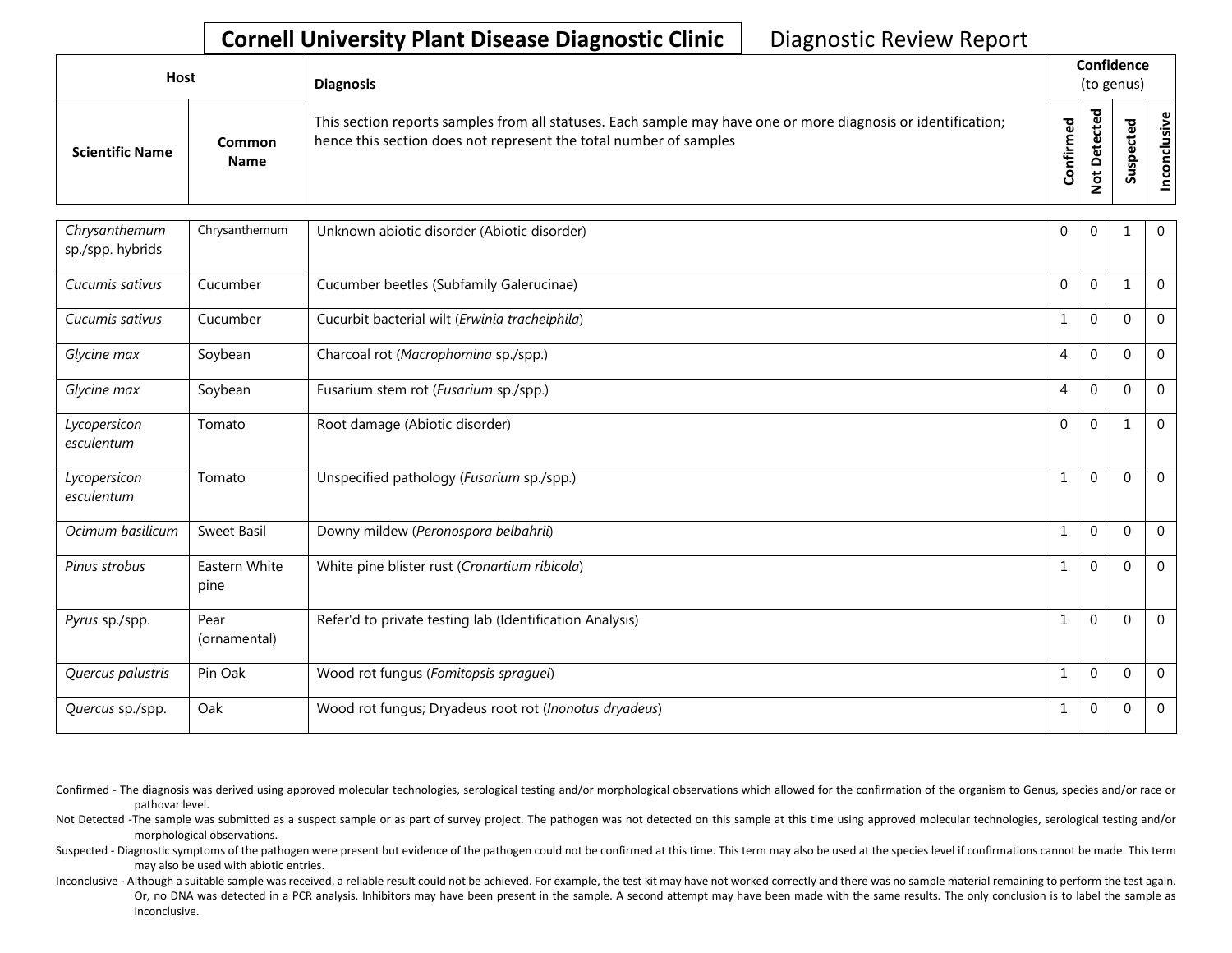## **Cornell University Plant Disease Diagnostic Clinic** | Diagnostic Review Report

| Host                   |                              | <b>Diagnosis</b>                                                                                                                                                                   |               | Confidence<br>(to genus) |                              |           |
|------------------------|------------------------------|------------------------------------------------------------------------------------------------------------------------------------------------------------------------------------|---------------|--------------------------|------------------------------|-----------|
| <b>Scientific Name</b> | <b>Common</b><br><b>Name</b> | This section reports samples from all statuses. Each sample may have one or more diagnosis or identification;<br>hence this section does not represent the total number of samples | 59<br>Confirm | ಕ<br>$\Omega$            | ω<br>ω<br>요<br><b>S</b><br>Ū | စ္၊<br>≤i |

| Chrysanthemum<br>sp./spp. hybrids | Chrysanthemum         | Unknown abiotic disorder (Abiotic disorder)              | $\mathbf{0}$   | $\mathbf 0$  |             | $\mathbf 0$    |
|-----------------------------------|-----------------------|----------------------------------------------------------|----------------|--------------|-------------|----------------|
| Cucumis sativus                   | Cucumber              | Cucumber beetles (Subfamily Galerucinae)                 | $\mathbf 0$    | $\mathbf 0$  |             | $\overline{0}$ |
| Cucumis sativus                   | Cucumber              | Cucurbit bacterial wilt (Erwinia tracheiphila)           | 1              | $\mathbf 0$  | $\Omega$    | $\mathbf{0}$   |
| Glycine max                       | Soybean               | Charcoal rot (Macrophomina sp./spp.)                     | 4              | $\Omega$     | $\Omega$    | $\mathbf{0}$   |
| Glycine max                       | Soybean               | Fusarium stem rot (Fusarium sp./spp.)                    | $\overline{4}$ | $\Omega$     | $\Omega$    | $\mathbf{0}$   |
| Lycopersicon<br>esculentum        | Tomato                | Root damage (Abiotic disorder)                           | $\Omega$       | $\Omega$     |             | $\overline{0}$ |
| Lycopersicon<br>esculentum        | Tomato                | Unspecified pathology (Fusarium sp./spp.)                | 1              | $\Omega$     | $\Omega$    | $\mathbf{0}$   |
| Ocimum basilicum                  | Sweet Basil           | Downy mildew (Peronospora belbahrii)                     | $\mathbf{1}$   | $\mathbf{0}$ | $\Omega$    | $\overline{0}$ |
| Pinus strobus                     | Eastern White<br>pine | White pine blister rust (Cronartium ribicola)            | 1              | $\Omega$     | $\Omega$    | $\mathbf{0}$   |
| Pyrus sp./spp.                    | Pear<br>(ornamental)  | Refer'd to private testing lab (Identification Analysis) | 1              | $\mathbf{0}$ | $\Omega$    | $\mathbf 0$    |
| Quercus palustris                 | Pin Oak               | Wood rot fungus (Fomitopsis spraguei)                    | 1              | $\mathbf{0}$ | $\Omega$    | $\mathbf{0}$   |
| Quercus sp./spp.                  | Oak                   | Wood rot fungus; Dryadeus root rot (Inonotus dryadeus)   | 1              | $\mathbf{0}$ | $\mathbf 0$ | $\overline{0}$ |

Confirmed - The diagnosis was derived using approved molecular technologies, serological testing and/or morphological observations which allowed for the confirmation of the organism to Genus, species and/or race or pathovar level.

Not Detected -The sample was submitted as a suspect sample or as part of survey project. The pathogen was not detected on this sample at this time using approved molecular technologies, serological testing and/or morphological observations.

Suspected - Diagnostic symptoms of the pathogen were present but evidence of the pathogen could not be confirmed at this time. This term may also be used at the species level if confirmations cannot be made. This term may also be used with abiotic entries.

Inconclusive - Although a suitable sample was received, a reliable result could not be achieved. For example, the test kit may have not worked correctly and there was no sample material remaining to perform the test again. Or, no DNA was detected in a PCR analysis. Inhibitors may have been present in the sample. A second attempt may have been made with the same results. The only conclusion is to label the sample as inconclusive.